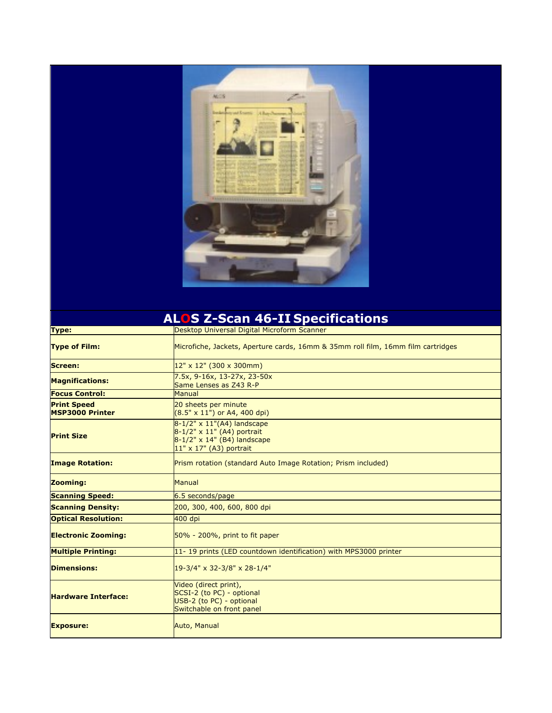

|                                              | <b>ALOS Z-Scan 46-II Specifications</b>                                                                              |
|----------------------------------------------|----------------------------------------------------------------------------------------------------------------------|
| Type:                                        | Desktop Universal Digital Microform Scanner                                                                          |
| <b>Type of Film:</b>                         | Microfiche, Jackets, Aperture cards, 16mm & 35mm roll film, 16mm film cartridges                                     |
| Screen:                                      | $12"$ x 12" (300 x 300mm)                                                                                            |
| <b>Magnifications:</b>                       | $7.5x$ , 9-16x, 13-27x, 23-50x<br>Same Lenses as Z43 R-P                                                             |
| <b>Focus Control:</b>                        | Manual                                                                                                               |
| <b>Print Speed</b><br><b>MSP3000 Printer</b> | 20 sheets per minute<br>$(8.5" \times 11")$ or A4, 400 dpi)                                                          |
| <b>Print Size</b>                            | 8-1/2" x 11"(A4) landscape<br>8-1/2" x 11" (A4) portrait<br>8-1/2" x 14" (B4) landscape<br>$11"$ x 17" (A3) portrait |
| <b>Image Rotation:</b>                       | Prism rotation (standard Auto Image Rotation; Prism included)                                                        |
| Zooming:                                     | Manual                                                                                                               |
| <b>Scanning Speed:</b>                       | 6.5 seconds/page                                                                                                     |
| <b>Scanning Density:</b>                     | 200, 300, 400, 600, 800 dpi                                                                                          |
| <b>Optical Resolution:</b>                   | 400 dpi                                                                                                              |
| <b>Electronic Zooming:</b>                   | $50\%$ - 200%, print to fit paper                                                                                    |
| <b>Multiple Printing:</b>                    | 11-19 prints (LED countdown identification) with MPS3000 printer                                                     |
| <b>Dimensions:</b>                           | 19-3/4" x 32-3/8" x 28-1/4"                                                                                          |
| <b>Hardware Interface:</b>                   | Video (direct print),<br>SCSI-2 (to PC) - optional<br>USB-2 (to PC) - optional<br>Switchable on front panel          |
| <b>Exposure:</b>                             | <b>Auto, Manual</b>                                                                                                  |